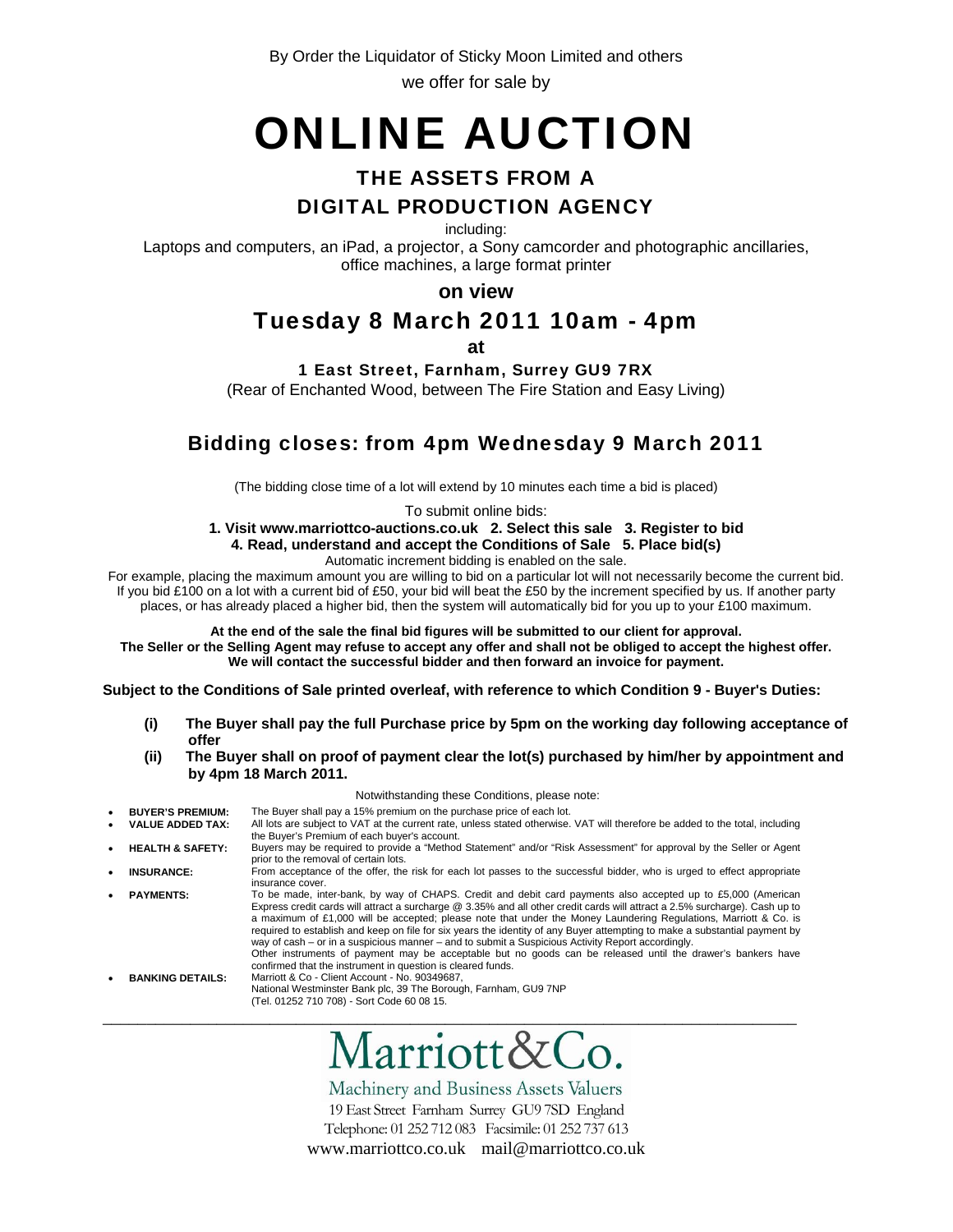By Order the Liquidator of Sticky Moon Limited and others we offer for sale by

# ONLINE AUCTION

# THE ASSETS FROM A

# DIGITAL PRODUCTION AGENCY

including:

Laptops and computers, an iPad, a projector, a Sony camcorder and photographic ancillaries, office machines, a large format printer

**on view**

# Tuesday 8 March 2011 10am - 4pm

**at** 

1 East Street, Farnham, Surrey GU9 7RX

(Rear of Enchanted Wood, between The Fire Station and Easy Living)

# Bidding closes: from 4pm Wednesday 9 March 2011

(The bidding close time of a lot will extend by 10 minutes each time a bid is placed)

To submit online bids:

**1. Visit www.marriottco-auctions.co.uk 2. Select this sale 3. Register to bid 4. Read, understand and accept the Conditions of Sale 5. Place bid(s)** 

Automatic increment bidding is enabled on the sale.

For example, placing the maximum amount you are willing to bid on a particular lot will not necessarily become the current bid. If you bid £100 on a lot with a current bid of £50, your bid will beat the £50 by the increment specified by us. If another party places, or has already placed a higher bid, then the system will automatically bid for you up to your £100 maximum.

**At the end of the sale the final bid figures will be submitted to our client for approval.** 

**The Seller or the Selling Agent may refuse to accept any offer and shall not be obliged to accept the highest offer. We will contact the successful bidder and then forward an invoice for payment.**

**Subject to the Conditions of Sale printed overleaf, with reference to which Condition 9 - Buyer's Duties:** 

- **(i) The Buyer shall pay the full Purchase price by 5pm on the working day following acceptance of offer**
- **(ii) The Buyer shall on proof of payment clear the lot(s) purchased by him/her by appointment and by 4pm 18 March 2011.**

#### Notwithstanding these Conditions, please note: **BUYER'S PREMIUM:** The Buyer shall pay a 15% premium on the purchase price of each lot.<br> **VALUE ADDED TAX:** All lots are subject to VAT at the current rate, unless stated otherwise. All lots are subject to VAT at the current rate, unless stated otherwise. VAT will therefore be added to the total, including the Buyer's Premium of each buyer's account. • **HEALTH & SAFETY:** Buyers may be required to provide a "Method Statement" and/or "Risk Assessment" for approval by the Seller or Agent prior to the removal of certain lots. **INSURANCE:** From acceptance of the offer, the risk for each lot passes to the successful bidder, who is urged to effect appropriate insurance cover. • **PAYMENTS:** To be made, inter-bank, by way of CHAPS. Credit and debit card payments also accepted up to £5,000 (American Express credit cards will attract a surcharge @ 3.35% and all other credit cards will attract a 2.5% surcharge). Cash up to a maximum of £1,000 will be accepted; please note that under the Money Laundering Regulations, Marriott & Co. is required to establish and keep on file for six years the identity of any Buyer attempting to make a substantial payment by way of cash – or in a suspicious manner – and to submit a Suspicious Activity Report accordingly. Other instruments of payment may be acceptable but no goods can be released until the drawer's bankers have confirmed that the instrument in question is cleared funds. • **BANKING DETAILS:** Marriott & Co - Client Account - No. 90349687, National Westminster Bank plc, 39 The Borough, Farnham, GU9 7NP (Tel. 01252 710 708) - Sort Code 60 08 15.

Machinery and Business Assets Valuers

\_\_\_\_\_\_\_\_\_\_\_\_\_\_\_\_\_\_\_\_\_\_\_\_\_\_\_\_\_\_\_\_\_\_\_\_\_\_\_\_\_\_\_\_\_\_\_\_\_\_\_\_\_\_\_\_\_\_\_\_\_\_\_\_\_\_\_\_\_\_\_\_\_\_\_\_\_\_\_

19 East Street Farnham Surrey GU9 7SD England Telephone: 01 252 712 083 Facsimile: 01 252 737 613 www.marriottco.co.uk mail@marriottco.co.uk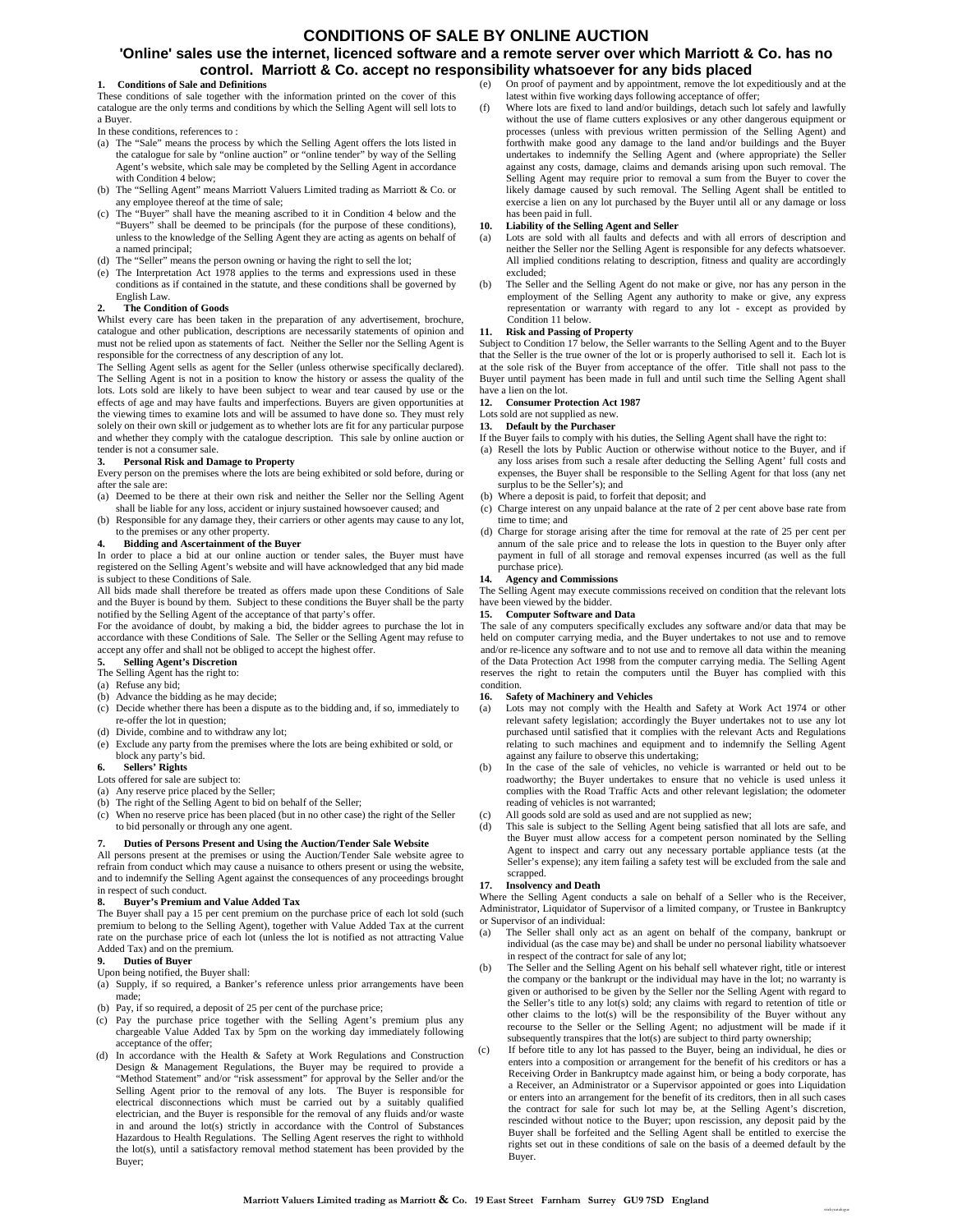### **CONDITIONS OF SALE BY ONLINE AUCTION**

### **'Online' sales use the internet, licenced software and a remote server over which Marriott & Co. has no control. Marriott & Co. accept no responsibility whatsoever for any bids placed**

#### **1. Conditions of Sale and Definitions**

These conditions of sale together with the information printed on the cover of this catalogue are the only terms and conditions by which the Selling Agent will sell lots to a Buyer.

In these conditions, references to :

- (a) The "Sale" means the process by which the Selling Agent offers the lots listed in the catalogue for sale by "online auction" or "online tender" by way of the Selling Agent's website, which sale may be completed by the Selling Agent in accordance with Condition 4 below;
- (b) The "Selling Agent" means Marriott Valuers Limited trading as Marriott & Co. or any employee thereof at the time of sale;
- (c) The "Buyer" shall have the meaning ascribed to it in Condition 4 below and the "Buyers" shall be deemed to be principals (for the purpose of these conditions), unless to the knowledge of the Selling Agent they are acting as agents on behalf of a named principal;
- (d) The "Seller" means the person owning or having the right to sell the lot;
- (e) The Interpretation Act 1978 applies to the terms and expressions used in these conditions as if contained in the statute, and these conditions shall be governed by English Law.

#### **2. The Condition of Goods**

Whilst every care has been taken in the preparation of any advertisement, brochure, catalogue and other publication, descriptions are necessarily statements of opinion and must not be relied upon as statements of fact. Neither the Seller nor the Selling Agent is responsible for the correctness of any description of any lot.

The Selling Agent sells as agent for the Seller (unless otherwise specifically declared). The Selling Agent is not in a position to know the history or assess the quality of the lots. Lots sold are likely to have been subject to wear and tear caused by use or the effects of age and may have faults and imperfections. Buyers are given opportunities at the viewing times to examine lots and will be assumed to have done so. They must rely solely on their own skill or judgement as to whether lots are fit for any particular purpose and whether they comply with the catalogue description. This sale by online auction or tender is not a consumer sale.

**3. Personal Risk and Damage to Property** Every person on the premises where the lots are being exhibited or sold before, during or after the sale are:

- (a) Deemed to be there at their own risk and neither the Seller nor the Selling Agent
- shall be liable for any loss, accident or injury sustained howsoever caused; and (b) Responsible for any damage they, their carriers or other agents may cause to any lot, to the premises or any other property.

#### **4. Bidding and Ascertainment of the Buyer**

In order to place a bid at our online auction or tender sales, the Buyer must have registered on the Selling Agent's website and will have acknowledged that any bid made is subject to these Conditions of Sale.

All bids made shall therefore be treated as offers made upon these Conditions of Sale and the Buyer is bound by them. Subject to these conditions the Buyer shall be the party notified by the Selling Agent of the acceptance of that party's offer.

For the avoidance of doubt, by making a bid, the bidder agrees to purchase the lot in accordance with these Conditions of Sale. The Seller or the Selling Agent may refuse to accept any offer and shall not be obliged to accept the highest offer.

#### **5. Selling Agent's Discretion**

The Selling Agent has the right to:

- (a) Refuse any bid;
- (b) Advance the bidding as he may decide;
- (c) Decide whether there has been a dispute as to the bidding and, if so, immediately to re-offer the lot in question;
- (d) Divide, combine and to withdraw any lot;
- (e) Exclude any party from the premises where the lots are being exhibited or sold, or block any party's bid.

#### **6. Sellers' Rights**

#### Lots offered for sale are subject to:

- (a) Any reserve price placed by the Seller;
- (b) The right of the Selling Agent to bid on behalf of the Seller;
- (c) When no reserve price has been placed (but in no other case) the right of the Seller to bid personally or through any one agent.

#### **7. Duties of Persons Present and Using the Auction/Tender Sale Website**

All persons present at the premises or using the Auction/Tender Sale website agree to refrain from conduct which may cause a nuisance to others present or using the website, and to indemnify the Selling Agent against the consequences of any proceedings brought in respect of such conduct.

#### **8. Buyer's Premium and Value Added Tax**

The Buyer shall pay a 15 per cent premium on the purchase price of each lot sold (such premium to belong to the Selling Agent), together with Value Added Tax at the current rate on the purchase price of each lot (unless the lot is notified as not attracting Value Added Tax) and on the premium.

#### **9. Duties of Buyer**

Upon being notified, the Buyer shall:

- (a) Supply, if so required, a Banker's reference unless prior arrangements have been made;
- (b) Pay, if so required, a deposit of 25 per cent of the purchase price;
- (c) Pay the purchase price together with the Selling Agent's premium plus any chargeable Value Added Tax by 5pm on the working day immediately following acceptance of the offer;
- (d) In accordance with the Health & Safety at Work Regulations and Construction Design & Management Regulations, the Buyer may be required to provide a "Method Statement" and/or "risk assessment" for approval by the Seller and/or the Selling Agent prior to the removal of any lots. The Buyer is responsible for electrical disconnections which must be carried out by a suitably qualified electrician, and the Buyer is responsible for the removal of any fluids and/or waste in and around the lot(s) strictly in accordance with the Control of Substances Hazardous to Health Regulations. The Selling Agent reserves the right to withhold the lot(s), until a satisfactory removal method statement has been provided by the Buyer;
- (e) On proof of payment and by appointment, remove the lot expeditiously and at the latest within five working days following acceptance of offer;
- (f) Where lots are fixed to land and/or buildings, detach such lot safely and lawfully without the use of flame cutters explosives or any other dangerous equipment or processes (unless with previous written permission of the Selling Agent) and forthwith make good any damage to the land and/or buildings and the Buyer undertakes to indemnify the Selling Agent and (where appropriate) the Seller against any costs, damage, claims and demands arising upon such removal. The Selling Agent may require prior to removal a sum from the Buyer to cover the likely damage caused by such removal. The Selling Agent shall be entitled to exercise a lien on any lot purchased by the Buyer until all or any damage or loss has been paid in full.

#### **10. Liability of the Selling Agent and Seller**

- Lots are sold with all faults and defects and with all errors of description and neither the Seller nor the Selling Agent is responsible for any defects whatsoever. All implied conditions relating to description, fitness and quality are accordingly excluded;
- (b) The Seller and the Selling Agent do not make or give, nor has any person in the employment of the Selling Agent any authority to make or give, any express representation or warranty with regard to any lot - except as provided by Condition 11 below.

#### **11. Risk and Passing of Property**

Subject to Condition 17 below, the Seller warrants to the Selling Agent and to the Buyer that the Seller is the true owner of the lot or is properly authorised to sell it. Each lot is at the sole risk of the Buyer from acceptance of the offer. Title shall not pass to the Buyer until payment has been made in full and until such time the Selling Agent shall have a lien on the lot.

#### **12. Consumer Protection Act 1987**

Lots sold are not supplied as new

**13. Default by the Purchaser**

- If the Buyer fails to comply with his duties, the Selling Agent shall have the right to:
- (a) Resell the lots by Public Auction or otherwise without notice to the Buyer, and if any loss arises from such a resale after deducting the Selling Agent' full costs and expenses, the Buyer shall be responsible to the Selling Agent for that loss (any net surplus to be the Seller's); and
- (b) Where a deposit is paid, to forfeit that deposit; and
- (c) Charge interest on any unpaid balance at the rate of 2 per cent above base rate from time to time; and
- (d) Charge for storage arising after the time for removal at the rate of 25 per cent per annum of the sale price and to release the lots in question to the Buyer only after payment in full of all storage and removal expenses incurred (as well as the full purchase price).

#### **14. Agency and Commissions**

The Selling Agent may execute commissions received on condition that the relevant lots have been viewed by the bidder

#### **15. Computer Software and Data**

The sale of any computers specifically excludes any software and/or data that may be held on computer carrying media, and the Buyer undertakes to not use and to remove and/or re-licence any software and to not use and to remove all data within the meaning of the Data Protection Act 1998 from the computer carrying media. The Selling Agent reserves the right to retain the computers until the Buyer has complied with this condition.

#### **16. Safety of Machinery and Vehicles**

- (a) Lots may not comply with the Health and Safety at Work Act 1974 or other relevant safety legislation; accordingly the Buyer undertakes not to use any lot purchased until satisfied that it complies with the relevant Acts and Regulations relating to such machines and equipment and to indemnify the Selling Agent against any failure to observe this undertaking;
- (b) In the case of the sale of vehicles, no vehicle is warranted or held out to be roadworthy; the Buyer undertakes to ensure that no vehicle is used unless it complies with the Road Traffic Acts and other relevant legislation; the odometer reading of vehicles is not warranted;
- (c) All goods sold are sold as used and are not supplied as new;
- (d) This sale is subject to the Selling Agent being satisfied that all lots are safe, and the Buyer must allow access for a competent person nominated by the Selling Agent to inspect and carry out any necessary portable appliance tests (at the Seller's expense); any item failing a safety test will be excluded from the sale and scrapped.

#### **17. Insolvency and Death**

Where the Selling Agent conducts a sale on behalf of a Seller who is the Receiver, Administrator, Liquidator of Supervisor of a limited company, or Trustee in Bankruptcy or Supervisor of an individual:

- (a) The Seller shall only act as an agent on behalf of the company, bankrupt or individual (as the case may be) and shall be under no personal liability whatsoever in respect of the contract for sale of any lot;
- (b) The Seller and the Selling Agent on his behalf sell whatever right, title or interest the company or the bankrupt or the individual may have in the lot; no warranty is given or authorised to be given by the Seller nor the Selling Agent with regard to the Seller's title to any lot(s) sold; any claims with regard to retention of title or other claims to the lot(s) will be the responsibility of the Buyer without any recourse to the Seller or the Selling Agent; no adjustment will be made if it subsequently transpires that the lot(s) are subject to third party ownership;
- If before title to any lot has passed to the Buyer, being an individual, he dies or enters into a composition or arrangement for the benefit of his creditors or has a Receiving Order in Bankruptcy made against him, or being a body corporate, has a Receiver, an Administrator or a Supervisor appointed or goes into Liquidation or enters into an arrangement for the benefit of its creditors, then in all such cases the contract for sale for such lot may be, at the Selling Agent's discretion, rescinded without notice to the Buyer; upon rescission, any deposit paid by the Buyer shall be forfeited and the Selling Agent shall be entitled to exercise the rights set out in these conditions of sale on the basis of a deemed default by the Buyer.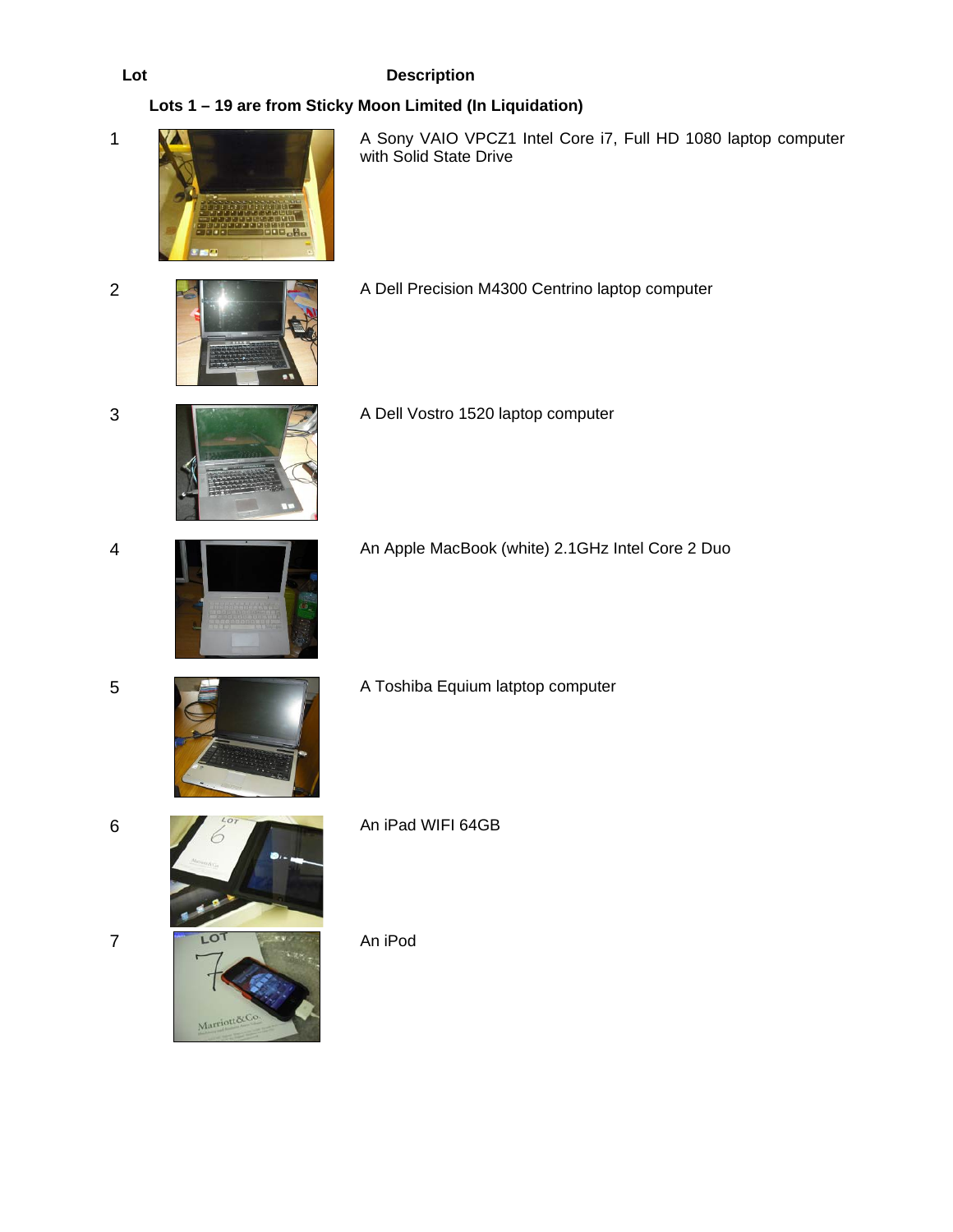# **Lots 1 – 19 are from Sticky Moon Limited (In Liquidation)**



1 **A Sony VAIO VPCZ1 Intel Core i7, Full HD 1080 laptop computer** with Solid State Drive



2 **A Dell Precision M4300 Centrino laptop computer** 





3 **A Dell Vostro 1520 laptop computer** 



4 An Apple MacBook (white) 2.1GHz Intel Core 2 Duo





Marriott&C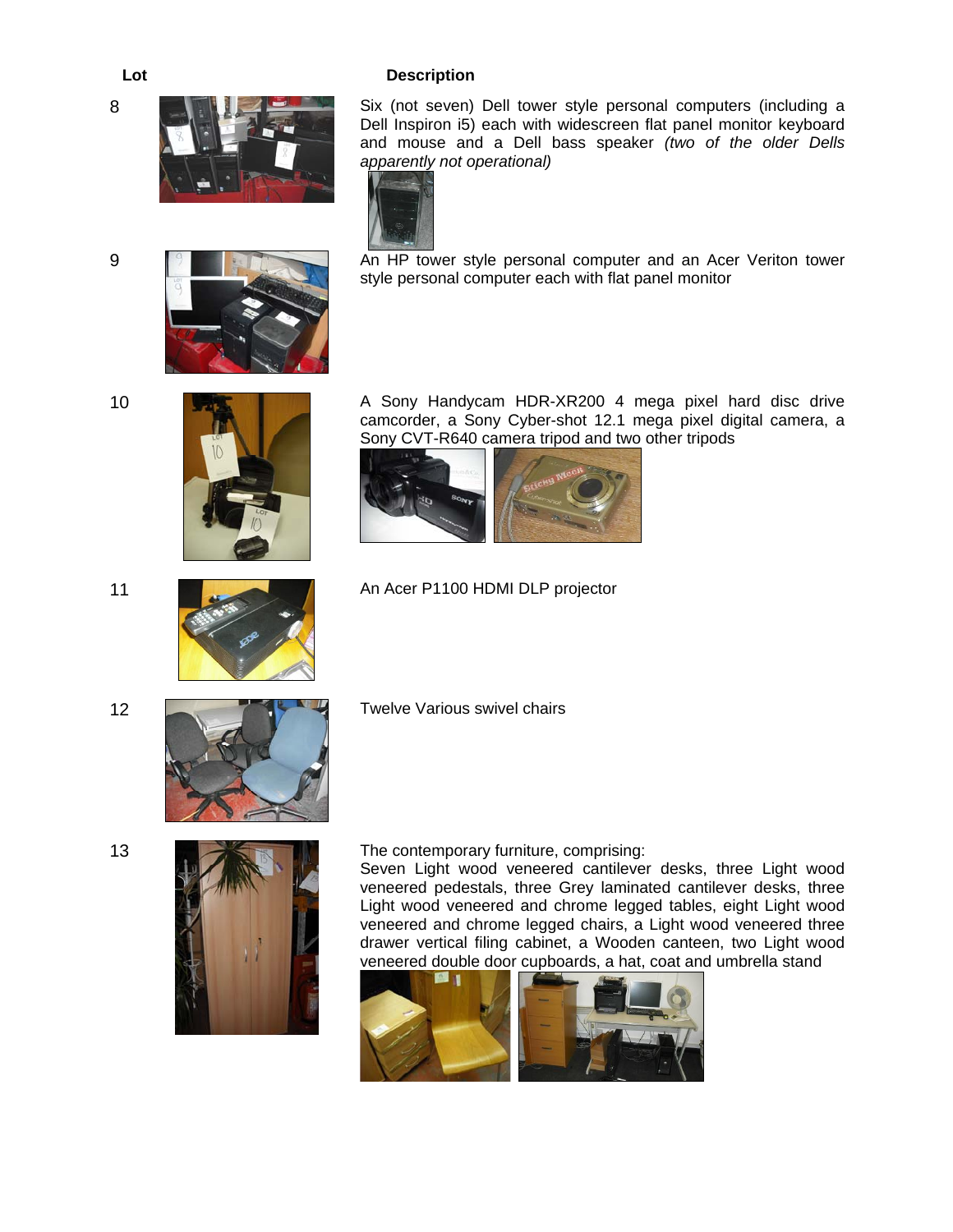8



Six (not seven) Dell tower style personal computers (including a Dell Inspiron i5) each with widescreen flat panel monitor keyboard and mouse and a Dell bass speaker *(two of the older Dells apparently not operational)* 



An HP tower style personal computer and an Acer Veriton tower style personal computer each with flat panel monitor

9





10 **A Sony Handycam HDR-XR200 4 mega pixel hard disc drive** camcorder, a Sony Cyber-shot 12.1 mega pixel digital camera, a Sony CVT-R640 camera tripod and two other tripods



11 **An Acer P1100 HDMI DLP projector** 

12



Twelve Various swivel chairs



13 **The contemporary furniture, comprising:** 

Seven Light wood veneered cantilever desks, three Light wood veneered pedestals, three Grey laminated cantilever desks, three Light wood veneered and chrome legged tables, eight Light wood veneered and chrome legged chairs, a Light wood veneered three drawer vertical filing cabinet, a Wooden canteen, two Light wood veneered double door cupboards, a hat, coat and umbrella stand

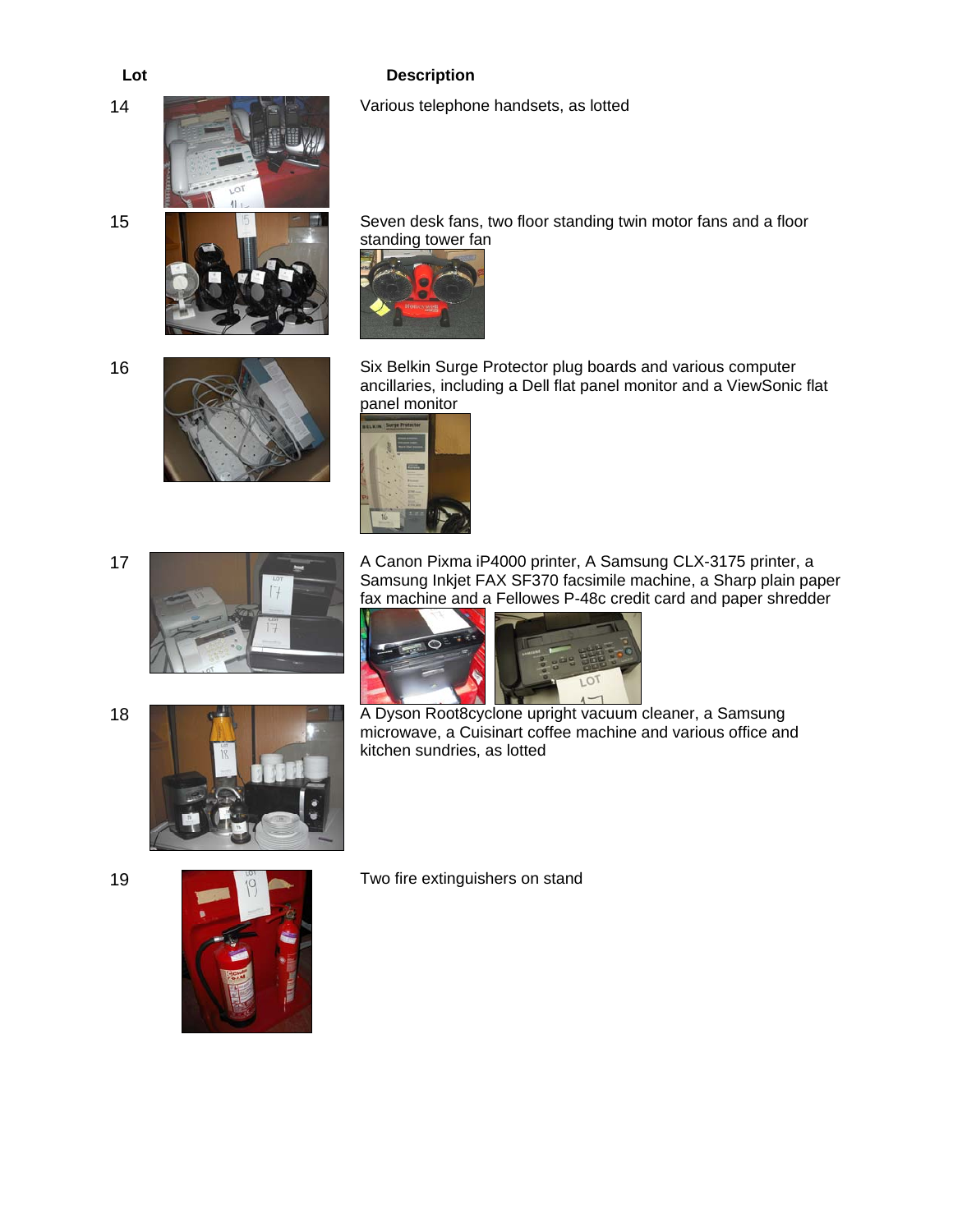14 **14** Various telephone handsets, as lotted



15 **Figure 15 Seven desk fans, two floor standing twin motor fans and a floor** standing tower fan



16



Six Belkin Surge Protector plug boards and various computer ancillaries, including a Dell flat panel monitor and a ViewSonic flat panel monitor



A Canon Pixma iP4000 printer, A Samsung CLX-3175 printer, a Samsung Inkjet FAX SF370 facsimile machine, a Sharp plain paper fax machine and a Fellowes P-48c credit card and paper shredder



18 **A Dyson Root8cyclone upright vacuum cleaner, a Samsung** microwave, a Cuisinart coffee machine and various office and kitchen sundries, as lotted

17



19 **Two fire extinguishers on stand** 

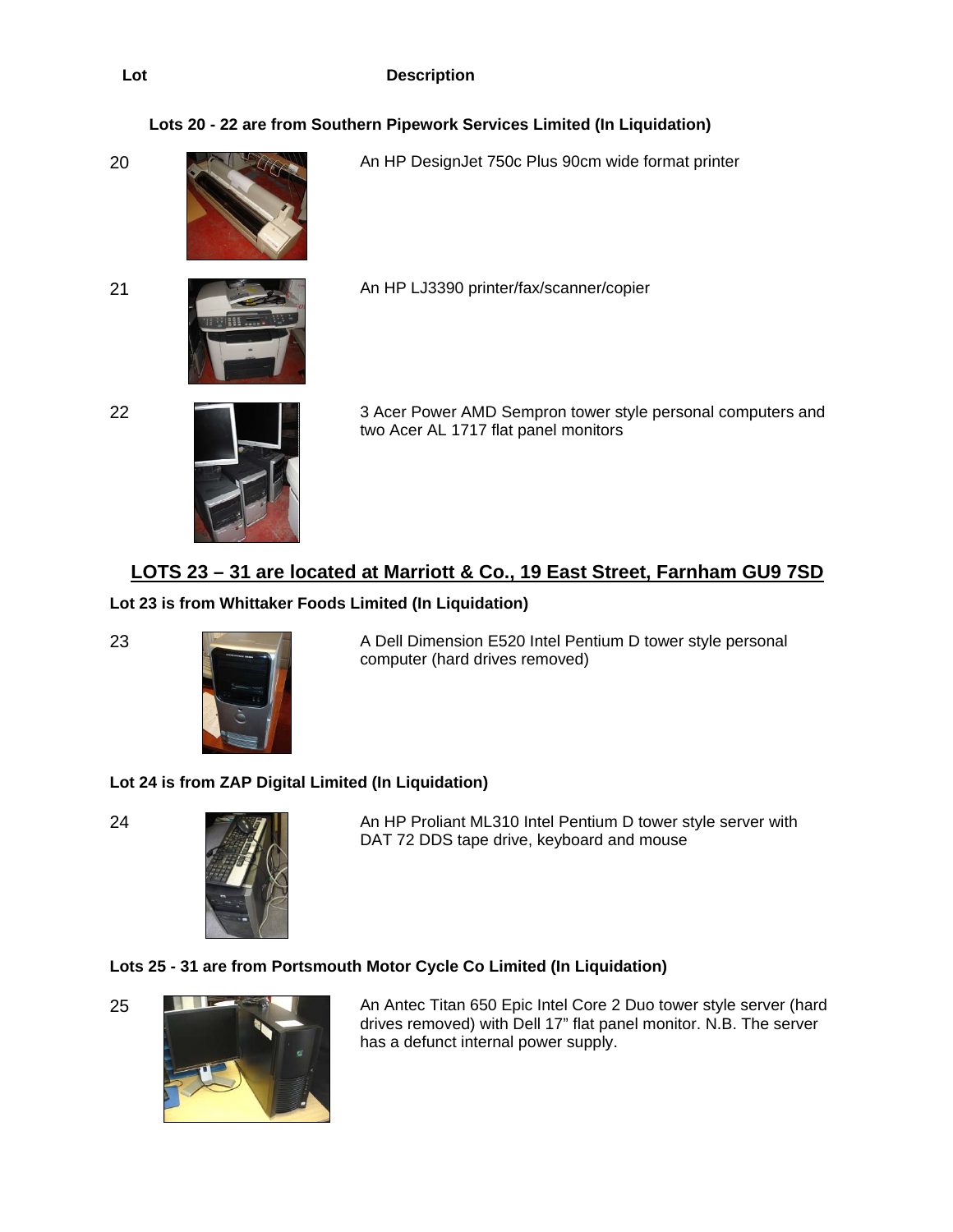# **Lots 20 - 22 are from Southern Pipework Services Limited (In Liquidation)**



20 An HP DesignJet 750c Plus 90cm wide format printer



21 An HP LJ3390 printer/fax/scanner/copier



22 3 Acer Power AMD Sempron tower style personal computers and two Acer AL 1717 flat panel monitors

# **LOTS 23 – 31 are located at Marriott & Co., 19 East Street, Farnham GU9 7SD**

# **Lot 23 is from Whittaker Foods Limited (In Liquidation)**



23 A Dell Dimension E520 Intel Pentium D tower style personal computer (hard drives removed)

# **Lot 24 is from ZAP Digital Limited (In Liquidation)**



24 **An HP Proliant ML310 Intel Pentium D tower style server with** DAT 72 DDS tape drive, keyboard and mouse

# **Lots 25 - 31 are from Portsmouth Motor Cycle Co Limited (In Liquidation)**





25 An Antec Titan 650 Epic Intel Core 2 Duo tower style server (hard drives removed) with Dell 17" flat panel monitor. N.B. The server has a defunct internal power supply.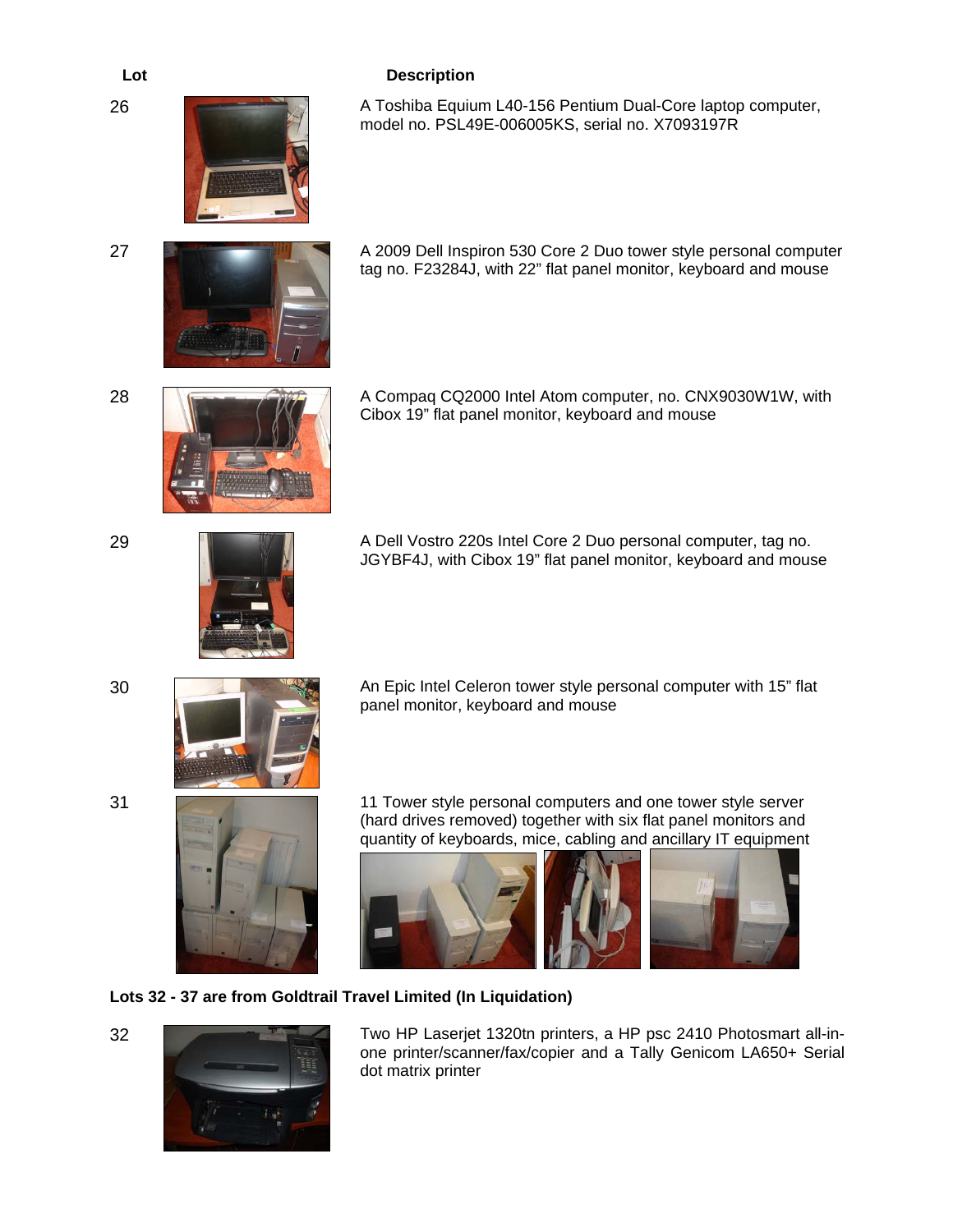26 A Toshiba Equium L40-156 Pentium Dual-Core laptop computer, model no. PSL49E-006005KS, serial no. X7093197R



27 **A 2009 Dell Inspiron 530 Core 2 Duo tower style personal computer** tag no. F23284J, with 22" flat panel monitor, keyboard and mouse



28 **A Compaq CQ2000 Intel Atom computer, no. CNX9030W1W, with** Cibox 19" flat panel monitor, keyboard and mouse



29 **A Dell Vostro 220s Intel Core 2 Duo personal computer, tag no.** JGYBF4J, with Cibox 19" flat panel monitor, keyboard and mouse



30 An Epic Intel Celeron tower style personal computer with 15" flat panel monitor, keyboard and mouse



31 11 Tower style personal computers and one tower style server (hard drives removed) together with six flat panel monitors and quantity of keyboards, mice, cabling and ancillary IT equipment



# **Lots 32 - 37 are from Goldtrail Travel Limited (In Liquidation)**



32 Two HP Laserjet 1320tn printers, a HP psc 2410 Photosmart all-inone printer/scanner/fax/copier and a Tally Genicom LA650+ Serial dot matrix printer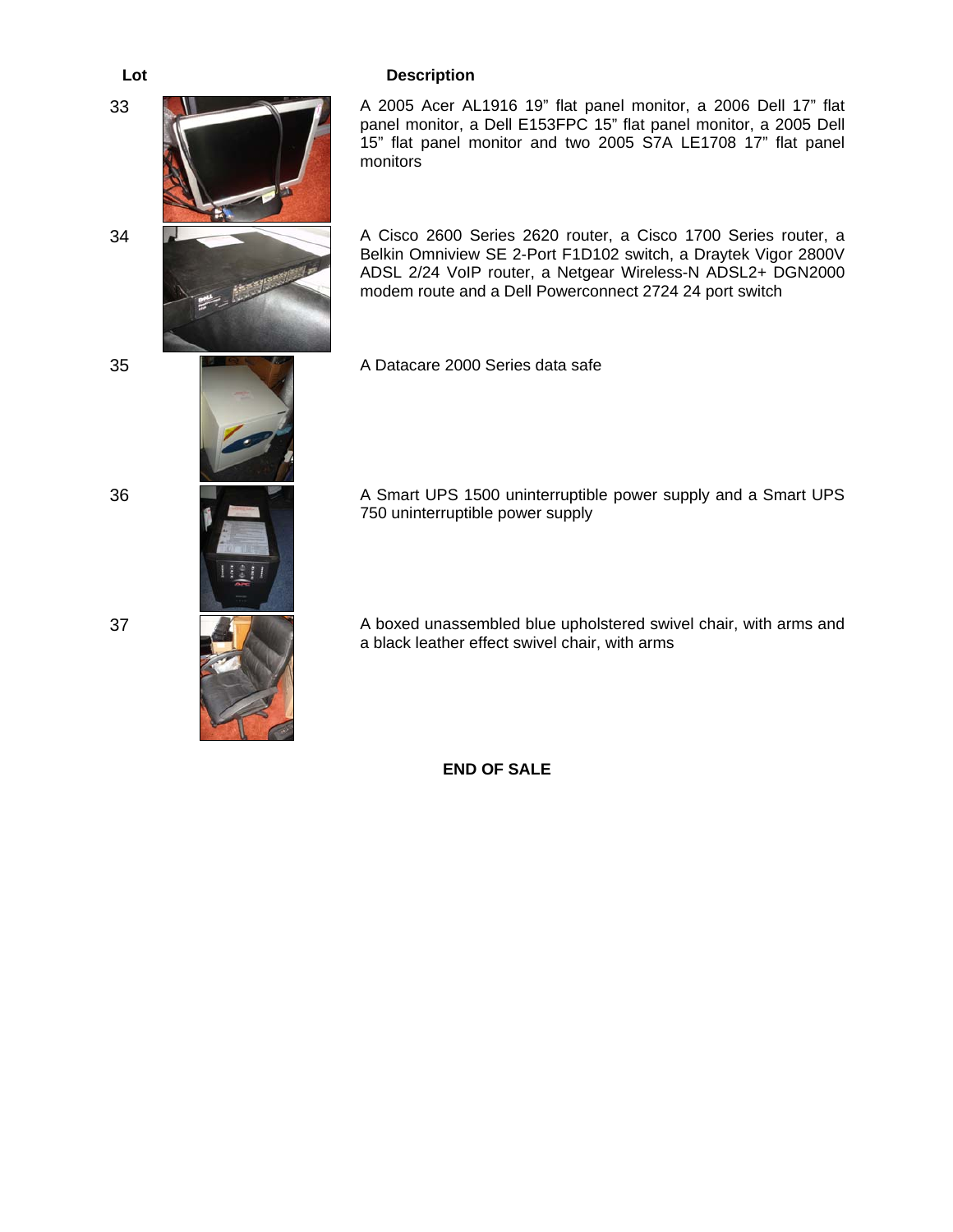

**END OF SALE**